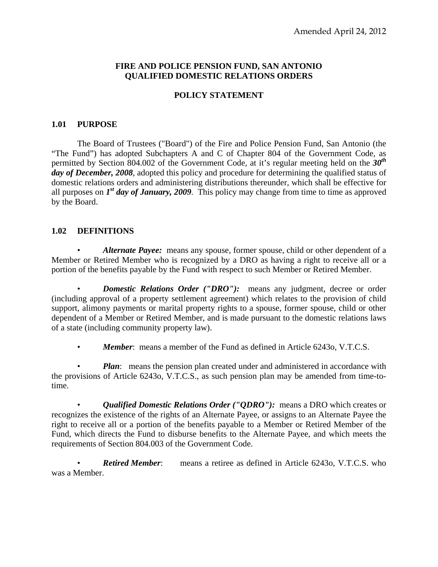## **FIRE AND POLICE PENSION FUND, SAN ANTONIO QUALIFIED DOMESTIC RELATIONS ORDERS**

## **POLICY STATEMENT**

### **1.01 PURPOSE**

The Board of Trustees ("Board") of the Fire and Police Pension Fund, San Antonio (the "The Fund") has adopted Subchapters A and C of Chapter 804 of the Government Code, as permitted by Section 804.002 of the Government Code, at it's regular meeting held on the *30th day of December, 2008*, adopted this policy and procedure for determining the qualified status of domestic relations orders and administering distributions thereunder, which shall be effective for all purposes on *1st day of January, 2009*. This policy may change from time to time as approved by the Board.

## **1.02 DEFINITIONS**

• *Alternate Payee:* means any spouse, former spouse, child or other dependent of a Member or Retired Member who is recognized by a DRO as having a right to receive all or a portion of the benefits payable by the Fund with respect to such Member or Retired Member.

*Domestic Relations Order ("DRO"):* means any judgment, decree or order (including approval of a property settlement agreement) which relates to the provision of child support, alimony payments or marital property rights to a spouse, former spouse, child or other dependent of a Member or Retired Member, and is made pursuant to the domestic relations laws of a state (including community property law).

• *Member*: means a member of the Fund as defined in Article 6243o, V.T.C.S.

*Plan*: means the pension plan created under and administered in accordance with the provisions of Article 6243o, V.T.C.S., as such pension plan may be amended from time-totime.

• *Qualified Domestic Relations Order ("QDRO"):* means a DRO which creates or recognizes the existence of the rights of an Alternate Payee, or assigns to an Alternate Payee the right to receive all or a portion of the benefits payable to a Member or Retired Member of the Fund, which directs the Fund to disburse benefits to the Alternate Payee, and which meets the requirements of Section 804.003 of the Government Code.

**Retired Member:** means a retiree as defined in Article 6243o, V.T.C.S. who was a Member.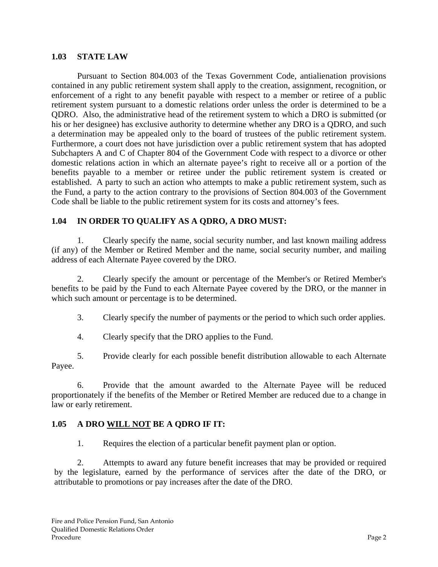#### **1.03 STATE LAW**

Pursuant to Section 804.003 of the Texas Government Code, antialienation provisions contained in any public retirement system shall apply to the creation, assignment, recognition, or enforcement of a right to any benefit payable with respect to a member or retiree of a public retirement system pursuant to a domestic relations order unless the order is determined to be a QDRO. Also, the administrative head of the retirement system to which a DRO is submitted (or his or her designee) has exclusive authority to determine whether any DRO is a QDRO, and such a determination may be appealed only to the board of trustees of the public retirement system. Furthermore, a court does not have jurisdiction over a public retirement system that has adopted Subchapters A and C of Chapter 804 of the Government Code with respect to a divorce or other domestic relations action in which an alternate payee's right to receive all or a portion of the benefits payable to a member or retiree under the public retirement system is created or established. A party to such an action who attempts to make a public retirement system, such as the Fund, a party to the action contrary to the provisions of Section 804.003 of the Government Code shall be liable to the public retirement system for its costs and attorney's fees.

## **1.04 IN ORDER TO QUALIFY AS A QDRO, A DRO MUST:**

1. Clearly specify the name, social security number, and last known mailing address (if any) of the Member or Retired Member and the name, social security number, and mailing address of each Alternate Payee covered by the DRO.

2. Clearly specify the amount or percentage of the Member's or Retired Member's benefits to be paid by the Fund to each Alternate Payee covered by the DRO, or the manner in which such amount or percentage is to be determined.

3. Clearly specify the number of payments or the period to which such order applies.

4. Clearly specify that the DRO applies to the Fund.

5. Provide clearly for each possible benefit distribution allowable to each Alternate Payee.

6. Provide that the amount awarded to the Alternate Payee will be reduced proportionately if the benefits of the Member or Retired Member are reduced due to a change in law or early retirement.

#### **1.05 A DRO WILL NOT BE A QDRO IF IT:**

1. Requires the election of a particular benefit payment plan or option.

2. Attempts to award any future benefit increases that may be provided or required by the legislature, earned by the performance of services after the date of the DRO, or attributable to promotions or pay increases after the date of the DRO.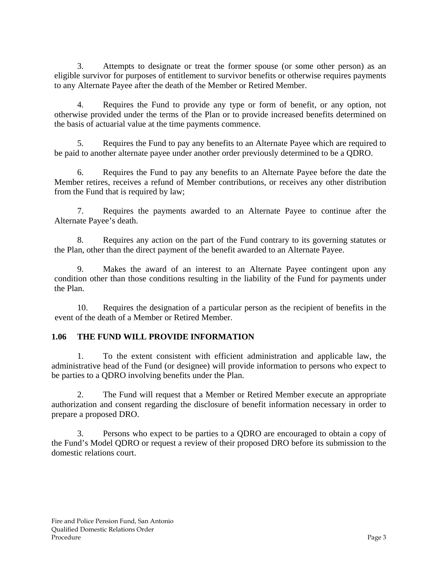3. Attempts to designate or treat the former spouse (or some other person) as an eligible survivor for purposes of entitlement to survivor benefits or otherwise requires payments to any Alternate Payee after the death of the Member or Retired Member.

4. Requires the Fund to provide any type or form of benefit, or any option, not otherwise provided under the terms of the Plan or to provide increased benefits determined on the basis of actuarial value at the time payments commence.

5. Requires the Fund to pay any benefits to an Alternate Payee which are required to be paid to another alternate payee under another order previously determined to be a QDRO.

6. Requires the Fund to pay any benefits to an Alternate Payee before the date the Member retires, receives a refund of Member contributions, or receives any other distribution from the Fund that is required by law;

7. Requires the payments awarded to an Alternate Payee to continue after the Alternate Payee's death.

8. Requires any action on the part of the Fund contrary to its governing statutes or the Plan, other than the direct payment of the benefit awarded to an Alternate Payee.

9. Makes the award of an interest to an Alternate Payee contingent upon any condition other than those conditions resulting in the liability of the Fund for payments under the Plan.

10. Requires the designation of a particular person as the recipient of benefits in the event of the death of a Member or Retired Member.

## **1.06 THE FUND WILL PROVIDE INFORMATION**

 1. To the extent consistent with efficient administration and applicable law, the administrative head of the Fund (or designee) will provide information to persons who expect to be parties to a QDRO involving benefits under the Plan.

 2. The Fund will request that a Member or Retired Member execute an appropriate authorization and consent regarding the disclosure of benefit information necessary in order to prepare a proposed DRO.

 3. Persons who expect to be parties to a QDRO are encouraged to obtain a copy of the Fund's Model QDRO or request a review of their proposed DRO before its submission to the domestic relations court.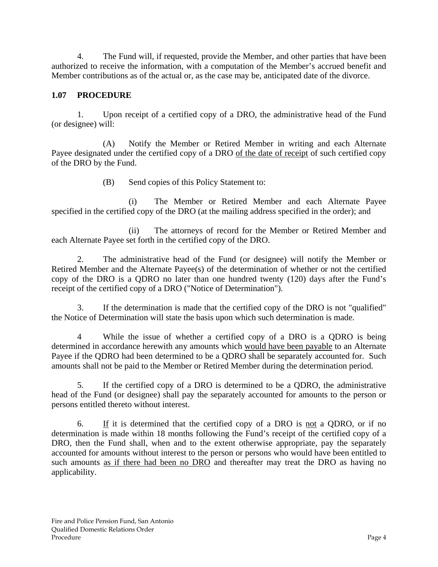4. The Fund will, if requested, provide the Member, and other parties that have been authorized to receive the information, with a computation of the Member's accrued benefit and Member contributions as of the actual or, as the case may be, anticipated date of the divorce.

# **1.07 PROCEDURE**

1. Upon receipt of a certified copy of a DRO, the administrative head of the Fund (or designee) will:

(A) Notify the Member or Retired Member in writing and each Alternate Payee designated under the certified copy of a DRO of the date of receipt of such certified copy of the DRO by the Fund.

(B) Send copies of this Policy Statement to:

(i) The Member or Retired Member and each Alternate Payee specified in the certified copy of the DRO (at the mailing address specified in the order); and

(ii) The attorneys of record for the Member or Retired Member and each Alternate Payee set forth in the certified copy of the DRO.

2. The administrative head of the Fund (or designee) will notify the Member or Retired Member and the Alternate Payee(s) of the determination of whether or not the certified copy of the DRO is a QDRO no later than one hundred twenty (120) days after the Fund's receipt of the certified copy of a DRO ("Notice of Determination").

3. If the determination is made that the certified copy of the DRO is not "qualified" the Notice of Determination will state the basis upon which such determination is made.

4 While the issue of whether a certified copy of a DRO is a QDRO is being determined in accordance herewith any amounts which would have been payable to an Alternate Payee if the QDRO had been determined to be a QDRO shall be separately accounted for. Such amounts shall not be paid to the Member or Retired Member during the determination period.

5. If the certified copy of a DRO is determined to be a QDRO, the administrative head of the Fund (or designee) shall pay the separately accounted for amounts to the person or persons entitled thereto without interest.

 6. If it is determined that the certified copy of a DRO is not a QDRO, or if no determination is made within 18 months following the Fund's receipt of the certified copy of a DRO, then the Fund shall, when and to the extent otherwise appropriate, pay the separately accounted for amounts without interest to the person or persons who would have been entitled to such amounts as if there had been no DRO and thereafter may treat the DRO as having no applicability.